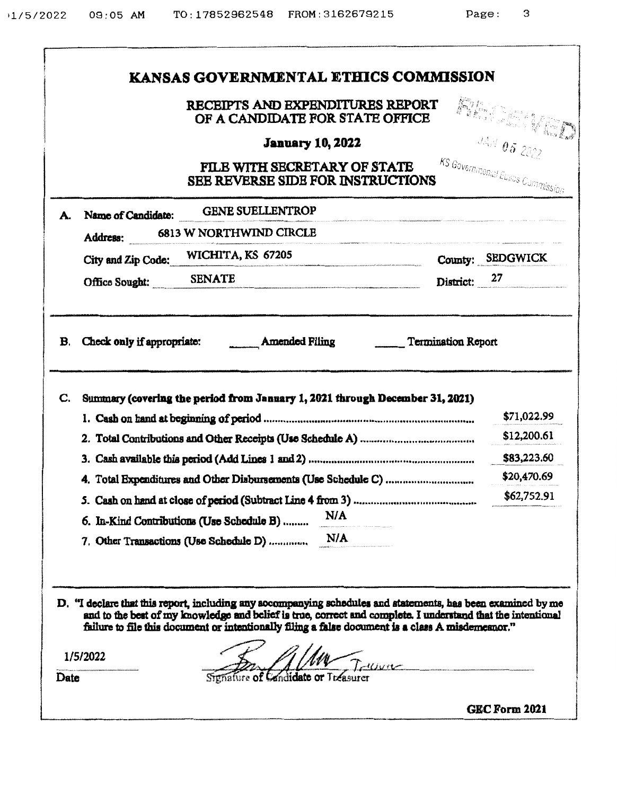|    |                                           | RECEIPTS AND EXPENDITURES REPORT<br>OF A CANDIDATE FOR STATE OFFICE                                          |              | Blanche Ver                       |
|----|-------------------------------------------|--------------------------------------------------------------------------------------------------------------|--------------|-----------------------------------|
|    |                                           | <b>January 10, 2022</b>                                                                                      |              | <b>JAN 05 2022</b>                |
|    |                                           | FILE WITH SECRETARY OF STATE<br><b>SEE REVERSE SIDE FOR INSTRUCTIONS</b>                                     |              | KS Governmental Ethics Commission |
| А. | Name of Candidate:                        | <b>GENE SUELLENTROP</b>                                                                                      |              |                                   |
|    | Address:                                  | 6813 W NORTHWIND CIRCLE                                                                                      |              |                                   |
|    | City and Zip Code:                        | WICHITA, KS 67205                                                                                            |              | County: SEDGWICK                  |
|    | <b>SENATE</b><br>Office Sought:           |                                                                                                              | District: 27 |                                   |
|    |                                           |                                                                                                              |              | \$12,200.61<br>\$83,223.60        |
|    |                                           |                                                                                                              |              | \$20,470.69                       |
|    |                                           |                                                                                                              |              | \$62,752.91                       |
|    | 6. In-Kind Contributions (Use Schedule B) | N/A                                                                                                          |              |                                   |
|    | 7. Other Transactions (Use Schedule D)    | N/A                                                                                                          |              |                                   |
|    |                                           | D. "I declare that this report, including any accompanying schedules and statements, has been examined by me |              |                                   |

7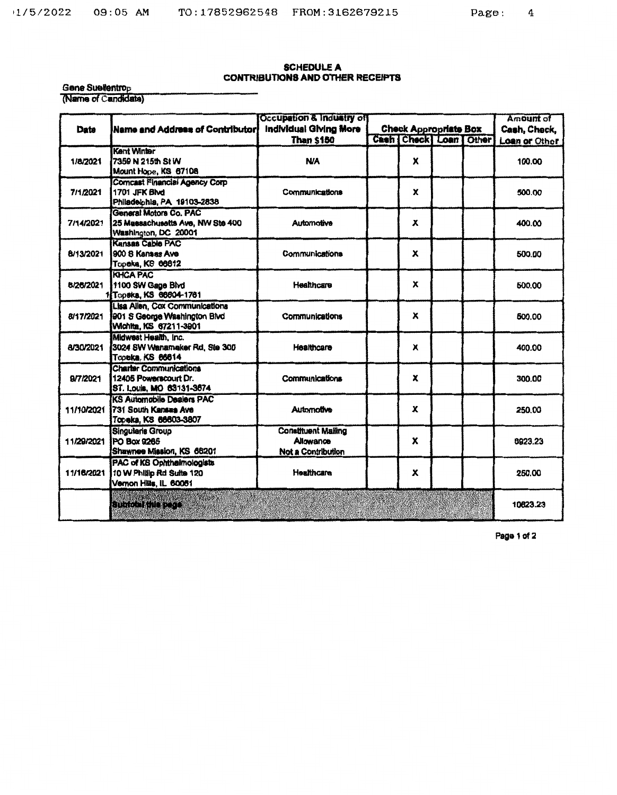# SCHEDULE A<br>CONTRIBUTIONS AND OTHER RECEIPTS

Gene Suellentrop<br>(Name of Candidate)

|            |                                                                                          | <b>Occupation &amp; Industry of</b>                           |                                    |  | Amount of     |
|------------|------------------------------------------------------------------------------------------|---------------------------------------------------------------|------------------------------------|--|---------------|
| Date       | Name and Address of Contributori                                                         | Individual Giving More                                        | <b>Check Appropriate Box</b>       |  | Cash, Check,  |
|            |                                                                                          | Than \$150                                                    | <b>Cash   Check   Loan   Other</b> |  | Loan or Other |
| 1/8/2021   | Kent Winter<br>7359 N 215th St W<br>Mount Hope, KS 67108                                 | <b>N/A</b>                                                    | X                                  |  | 100.00        |
| 7/1/2021   | <b>Comcast Financial Agency Corp</b><br>1701 JFK Blvd<br>Philadelphia, PA 19103-2838     | Communications                                                | <b>x</b>                           |  | 500.00        |
| 7/14/2021  | General Motors Co. PAC<br>25 Massachusetts Ave. NW Ste 400<br>Washington, DC 20001       | Automotive                                                    | x                                  |  | 400.00        |
| 8/13/2021  | Kansas Cable PAC<br>1900 S Kansas Ave<br>Topeka, KS 66612                                | Communications                                                | x                                  |  | 500.00        |
| 8/26/2021  | <b>KHCA PAC</b><br>1100 SW Gage Blvd<br>1 Topeka, KS 66604-1761                          | <b>Healthcare</b>                                             | x                                  |  | 500.00        |
| 8/17/2021  | Lisa Allen, Cox Communications<br>901 S George Washington Blvd<br>Wichita, KS 67211-3901 | Communications                                                | х                                  |  | 500.00        |
| 8/30/2021  | Midwest Health, Inc.<br>3024 SW Wanamaker Rd, Ste 300<br>Topeka, KS 66614                | Healthcare                                                    | x                                  |  | 400.00        |
| 8/7/2021   | <b>Charter Communications</b><br>12405 Powerscourt Dr.<br>ST. Louis, MO 63131-3674       | Communications                                                | x                                  |  | 300.00        |
| 11/10/2021 | <b>KS Automobile Dealers PAC</b><br>1731 South Kansas Ave<br>Topeka, KS 66603-3807       | Automotive                                                    | x                                  |  | 250.00        |
| 11/29/2021 | <b>Singularis Group</b><br>PO Box 9265<br>Shawnee Mission, KS 66201                      | <b>Constituent Mailing</b><br>Allowance<br>Not a Contribution | X                                  |  | 6923.23       |
| 11/16/2021 | PAC of KS Ophthalmologists<br>10 W Phillip Rd Suite 120<br>Vernon Hills, iL 60061        | <b>Healthcare</b>                                             | x                                  |  | 250.00        |
|            | <b>STREET STREET</b>                                                                     |                                                               |                                    |  | 10623.23      |

Page 1 of 2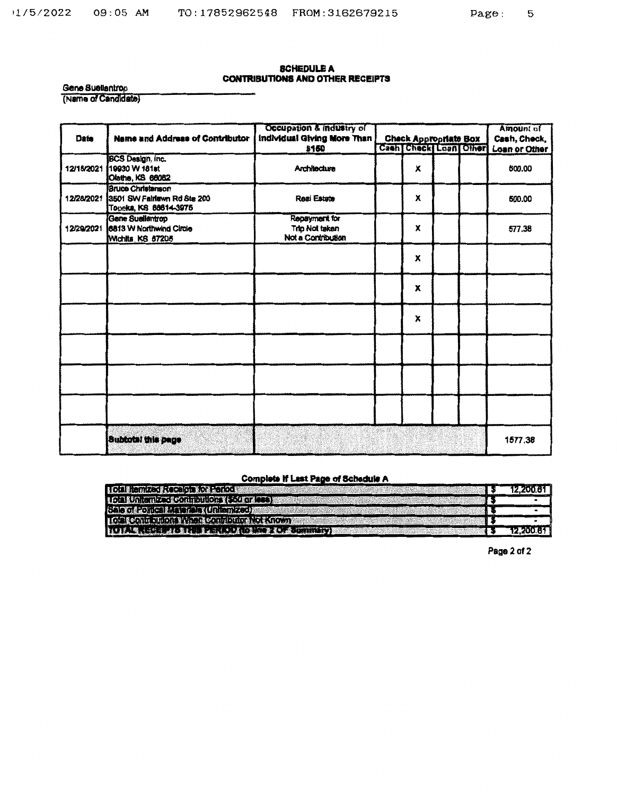#### **SCHEDULE A CONTRIBUTIONS AND OTHER RECEIPTS**

Gene Suellentrop<br>(Name of Candidate)

|            |                                                                                             | Occupation & Industry of                              |                              |  | Amount of     |
|------------|---------------------------------------------------------------------------------------------|-------------------------------------------------------|------------------------------|--|---------------|
| Date       | <b>Name and Address of Contributor</b>                                                      | Individual Giving More Than                           | <b>Check Appropriate Box</b> |  | Cash, Check,  |
|            |                                                                                             | \$150                                                 | Cash   Check   Loan   Other  |  | Loan or Other |
| 12/15/2021 | BCS Design, Inc.<br>19930 W 161st<br>Olathe, KS 66062                                       | Architecture                                          | х                            |  | 500.00        |
|            | <b>Bruce Christenson</b><br>12/28/2021 3501 SW Fairlawn Rd Ste 200<br>Topeka, KS 66614-3975 | <b>Real Estate</b>                                    | x                            |  | 500.00        |
| 12/29/2021 | Gene Suellentrop<br>6813 W Northwind Circle<br>Wichita KS 67205                             | Repayment for<br>Trip Not taken<br>Not a Contribution | x                            |  | 577.38        |
|            |                                                                                             |                                                       | x                            |  |               |
|            |                                                                                             |                                                       | x                            |  |               |
|            |                                                                                             |                                                       | X                            |  |               |
|            |                                                                                             |                                                       |                              |  |               |
|            |                                                                                             |                                                       |                              |  |               |
|            |                                                                                             |                                                       |                              |  |               |
|            | <b>Subtotal this page</b>                                                                   |                                                       |                              |  | 1577.38       |

## **Complete If Last Page of Schedule A**

| <b>I GA Hemzet Recard to Penot</b>                    | 12.200.61 |
|-------------------------------------------------------|-----------|
| <b>IOAILA AZEKOATAR (ERKEZ)</b>                       |           |
| <b>Sale of Political Materials (Uniternized)</b>      |           |
| <b>I MARCON FOR DRIVING TO STATISTICS AND LARGEDY</b> |           |
|                                                       | 12.200.61 |

Page 2 of 2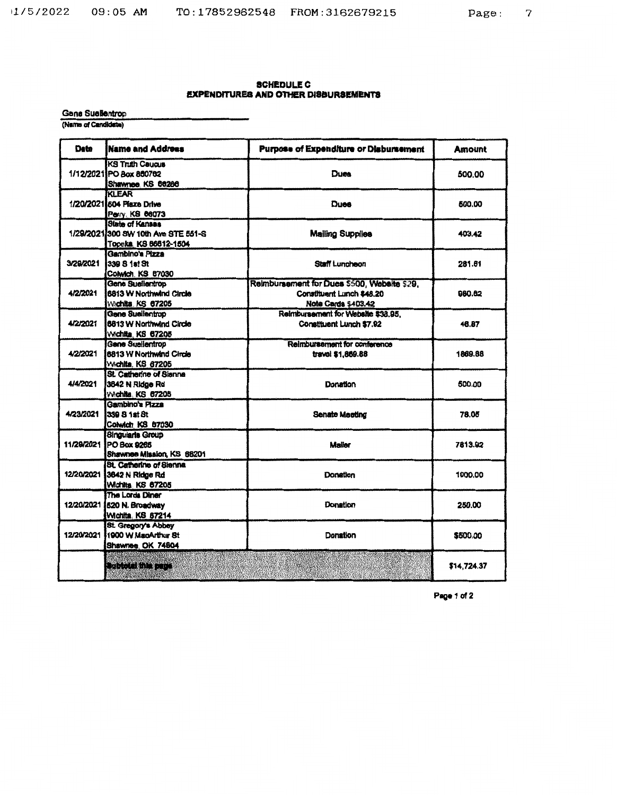#### **SCHEDULE C EXPENDITURES AND OTHER DISBURSEMENTS**

Gene Suellentrop

(Name of Candidate)

| Dete      | <b>Name and Address</b>                                                                 | <b>Purpose of Expenditure or Disbursement</b>                                                   | <b>Amount</b> |
|-----------|-----------------------------------------------------------------------------------------|-------------------------------------------------------------------------------------------------|---------------|
|           | <b>KS Truth Caucus</b><br>1/12/2021 PO Box 860762<br>Shawnee, KS 66286                  | Dues                                                                                            | 500.00        |
|           | <b>KLEAR</b><br>1/20/2021 504 Plaze Drive<br>Perry, KS 86073                            | Dues                                                                                            | 500.00        |
|           | <b>State of Kansas</b><br>1/29/2021 300 SW 10th Ave STE 551-S<br>Topeka, KS 66612-1504  | <b>Mailing Supplies</b>                                                                         | 403.42        |
| 3/29/2021 | Gambino's Pizza<br>339 S 1st St<br>Colwich, KS 67030                                    | Staff Luncheon                                                                                  | 281.61        |
| 4/2/2021  | Gene Suelientrop<br>6813 W Northwind Circle<br>Wichita, KS 67205                        | Reimbursement for Dues \$500, Website \$29,<br>Constituent Lunch \$48.20<br>Note Cards \$403.42 | 980.62        |
| 4/2/2021  | <b>Gene Suellentrop</b><br><b>8813 W Northwind Circle</b><br>Widhita, KS 67205          | Reimbursement for Website \$38.95.<br>Constituent Lunch \$7.92                                  | 46.87         |
| 4/2/2021  | <b>Gene Suellentrop</b><br>8813 W Northwind Circle<br>Wichita, KS 67205                 | Reimbursement for conference<br>travel \$1,869.88                                               | 1869.88       |
| 4/4/2021  | <b>St. Catherine of Sienne</b><br>3842 N Ridge Rd<br>Widhita. KS 67205                  | Donation                                                                                        | 500.00        |
| 4/23/2021 | Gambino's Pizza<br><b>1339 S 1st St</b><br>Colwich KS 67030                             | Senate Meeting                                                                                  | 78.05         |
|           | <b>Singularis Group</b><br>11/29/2021 PO Box 9265<br>Shawnee Mission, KS 66201          | Maller                                                                                          | 7813.92       |
|           | <b>St. Catherine of Sienna</b><br>12/20/2021 3842 N Ridge Rd<br><b>Wichita KS 67205</b> | Donation                                                                                        | 1000.00       |
|           | The Lords Diner<br>12/20/2021 [520 N. Broadway<br><b>Wichita, KS 67214</b>              | Donation                                                                                        | 250.00        |
|           | <b>St. Gregory's Abbey</b><br>12/20/2021 1900 W MacArthur St<br>Shawnee, OK 74804       | Donation                                                                                        | \$500.00      |
|           | <b>ONE CALLED TO BE</b>                                                                 |                                                                                                 | \$14,724.37   |

Page 1 of 2